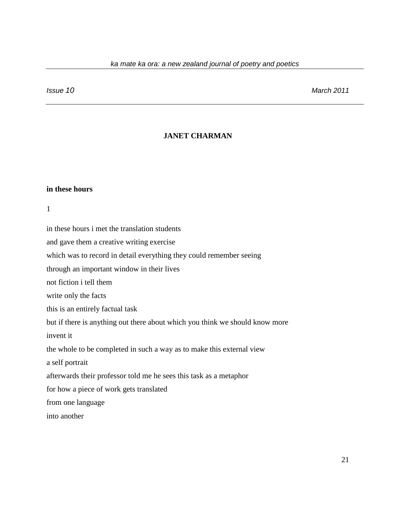*Issue 10 March 2011*

# **JANET CHARMAN**

# **in these hours**

1

in these hours i met the translation students

and gave them a creative writing exercise

which was to record in detail everything they could remember seeing

through an important window in their lives

not fiction i tell them

write only the facts

this is an entirely factual task

but if there is anything out there about which you think we should know more

invent it

the whole to be completed in such a way as to make this external view

a self portrait

afterwards their professor told me he sees this task as a metaphor

for how a piece of work gets translated

from one language

into another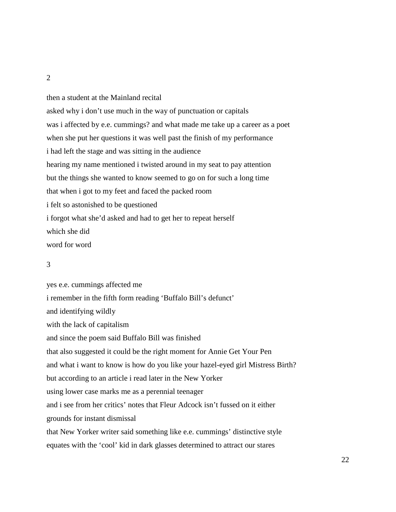2

then a student at the Mainland recital asked why i don't use much in the way of punctuation or capitals was i affected by e.e. cummings? and what made me take up a career as a poet when she put her questions it was well past the finish of my performance i had left the stage and was sitting in the audience hearing my name mentioned i twisted around in my seat to pay attention but the things she wanted to know seemed to go on for such a long time that when i got to my feet and faced the packed room i felt so astonished to be questioned i forgot what she'd asked and had to get her to repeat herself which she did word for word

#### 3

yes e.e. cummings affected me i remember in the fifth form reading 'Buffalo Bill's defunct' and identifying wildly with the lack of capitalism and since the poem said Buffalo Bill was finished that also suggested it could be the right moment for Annie Get Your Pen and what i want to know is how do you like your hazel-eyed girl Mistress Birth? but according to an article i read later in the New Yorker using lower case marks me as a perennial teenager and i see from her critics' notes that Fleur Adcock isn't fussed on it either grounds for instant dismissal that New Yorker writer said something like e.e. cummings' distinctive style equates with the 'cool' kid in dark glasses determined to attract our stares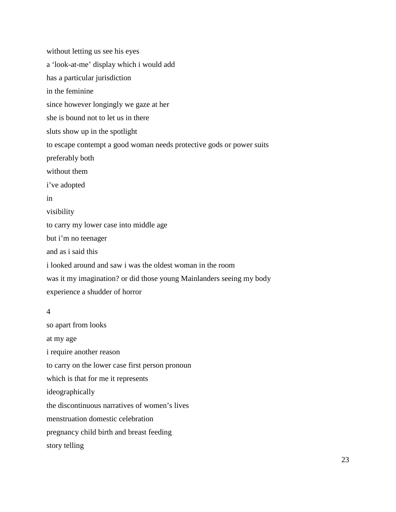without letting us see his eyes a 'look-at-me' display which i would add has a particular jurisdiction in the feminine since however longingly we gaze at her she is bound not to let us in there sluts show up in the spotlight to escape contempt a good woman needs protective gods or power suits preferably both without them i've adopted in visibility to carry my lower case into middle age but i'm no teenager and as i said this i looked around and saw i was the oldest woman in the room was it my imagination? or did those young Mainlanders seeing my body experience a shudder of horror

## 4

so apart from looks at my age i require another reason to carry on the lower case first person pronoun which is that for me it represents ideographically the discontinuous narratives of women's lives menstruation domestic celebration pregnancy child birth and breast feeding story telling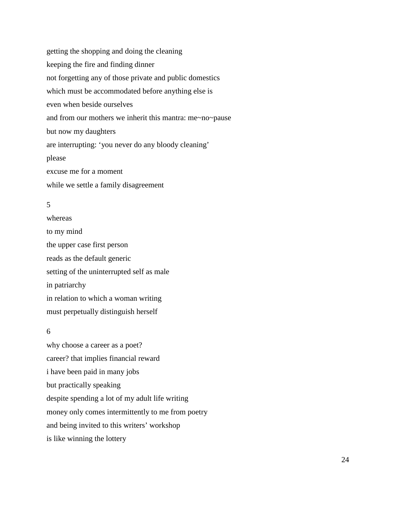getting the shopping and doing the cleaning keeping the fire and finding dinner not forgetting any of those private and public domestics which must be accommodated before anything else is even when beside ourselves and from our mothers we inherit this mantra: me~no~pause but now my daughters are interrupting: 'you never do any bloody cleaning' please excuse me for a moment while we settle a family disagreement

## 5

whereas to my mind the upper case first person reads as the default generic setting of the uninterrupted self as male in patriarchy in relation to which a woman writing must perpetually distinguish herself

## 6

why choose a career as a poet? career? that implies financial reward i have been paid in many jobs but practically speaking despite spending a lot of my adult life writing money only comes intermittently to me from poetry and being invited to this writers' workshop is like winning the lottery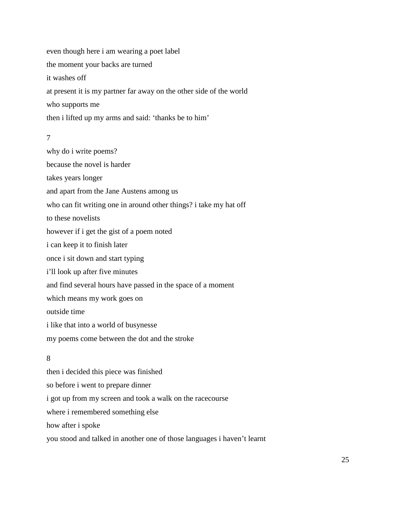even though here i am wearing a poet label the moment your backs are turned it washes off at present it is my partner far away on the other side of the world who supports me then i lifted up my arms and said: 'thanks be to him'

7

why do i write poems? because the novel is harder takes years longer and apart from the Jane Austens among us who can fit writing one in around other things? i take my hat off to these novelists however if i get the gist of a poem noted i can keep it to finish later once i sit down and start typing i'll look up after five minutes and find several hours have passed in the space of a moment which means my work goes on outside time i like that into a world of busynesse my poems come between the dot and the stroke

# 8

then i decided this piece was finished so before i went to prepare dinner i got up from my screen and took a walk on the racecourse where i remembered something else how after i spoke you stood and talked in another one of those languages i haven't learnt